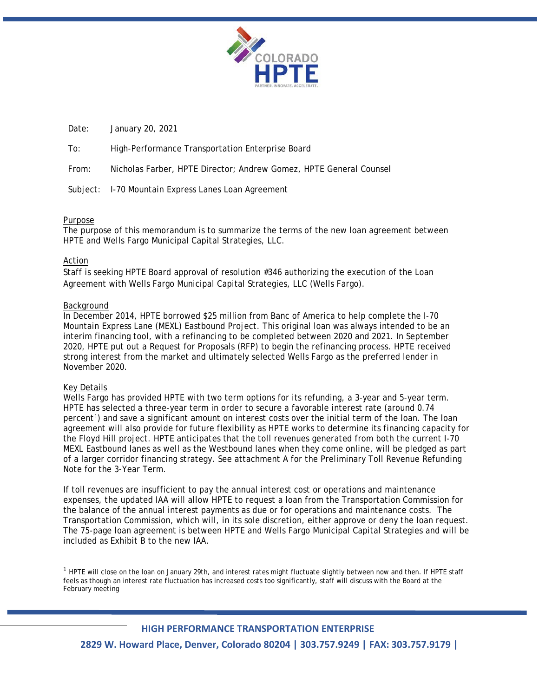

Date: January 20, 2021

To: High-Performance Transportation Enterprise Board

From: Nicholas Farber, HPTE Director; Andrew Gomez, HPTE General Counsel

Subject: I-70 Mountain Express Lanes Loan Agreement

# Purpose

The purpose of this memorandum is to summarize the terms of the new loan agreement between HPTE and Wells Fargo Municipal Capital Strategies, LLC.

# Action

Staff is seeking HPTE Board approval of resolution #346 authorizing the execution of the Loan Agreement with Wells Fargo Municipal Capital Strategies, LLC (Wells Fargo).

## Background

In December 2014, HPTE borrowed \$25 million from Banc of America to help complete the I-70 Mountain Express Lane (MEXL) Eastbound Project. This original loan was always intended to be an interim financing tool, with a refinancing to be completed between 2020 and 2021. In September 2020, HPTE put out a Request for Proposals (RFP) to begin the refinancing process. HPTE received strong interest from the market and ultimately selected Wells Fargo as the preferred lender in November 2020.

## Key Details

<span id="page-0-0"></span> $\overline{a}$ 

Wells Fargo has provided HPTE with two term options for its refunding, a 3-year and 5-year term. HPTE has selected a three-year term in order to secure a favorable interest rate (around 0.74 percent<sup>[1](#page-0-0)</sup>) and save a significant amount on interest costs over the initial term of the loan. The loan agreement will also provide for future flexibility as HPTE works to determine its financing capacity for the Floyd Hill project. HPTE anticipates that the toll revenues generated from both the current I-70 MEXL Eastbound lanes as well as the Westbound lanes when they come online, will be pledged as part of a larger corridor financing strategy. See attachment A for the Preliminary Toll Revenue Refunding Note for the 3-Year Term.

If toll revenues are insufficient to pay the annual interest cost or operations and maintenance expenses, the updated IAA will allow HPTE to request a loan from the Transportation Commission for the balance of the annual interest payments as due or for operations and maintenance costs. The Transportation Commission, which will, in its sole discretion, either approve or deny the loan request. The 75-page loan agreement is between HPTE and Wells Fargo Municipal Capital Strategies and will be included as Exhibit B to the new IAA.

 $1$  HPTE will close on the loan on January 29th, and interest rates might fluctuate slightly between now and then. If HPTE staff feels as though an interest rate fluctuation has increased costs too significantly, staff will discuss with the Board at the February meeting

# **HIGH PERFORMANCE TRANSPORTATION ENTERPRISE**

**2829 W. Howard Place, Denver, Colorado 80204 | 303.757.9249 | FAX: 303.757.9179 |**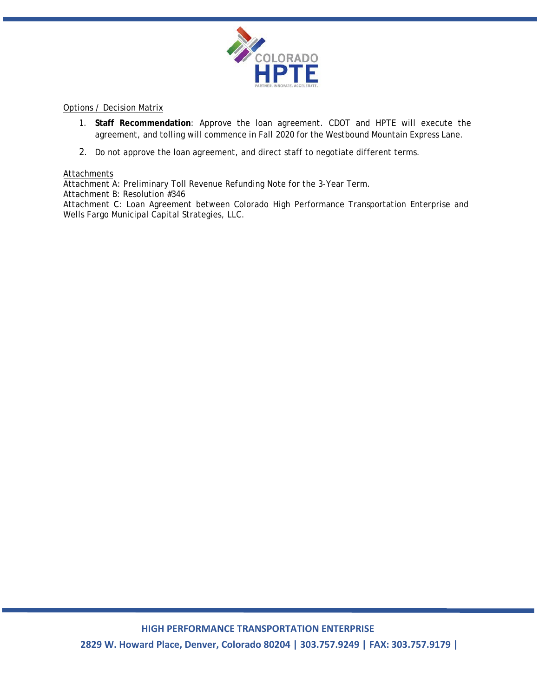

## Options / Decision Matrix

- 1. **Staff Recommendation**: Approve the loan agreement. CDOT and HPTE will execute the agreement, and tolling will commence in Fall 2020 for the Westbound Mountain Express Lane.
- 2. Do not approve the loan agreement, and direct staff to negotiate different terms.

# **Attachments**

Attachment A: Preliminary Toll Revenue Refunding Note for the 3-Year Term.

Attachment B: Resolution #346

Attachment C: Loan Agreement between Colorado High Performance Transportation Enterprise and Wells Fargo Municipal Capital Strategies, LLC.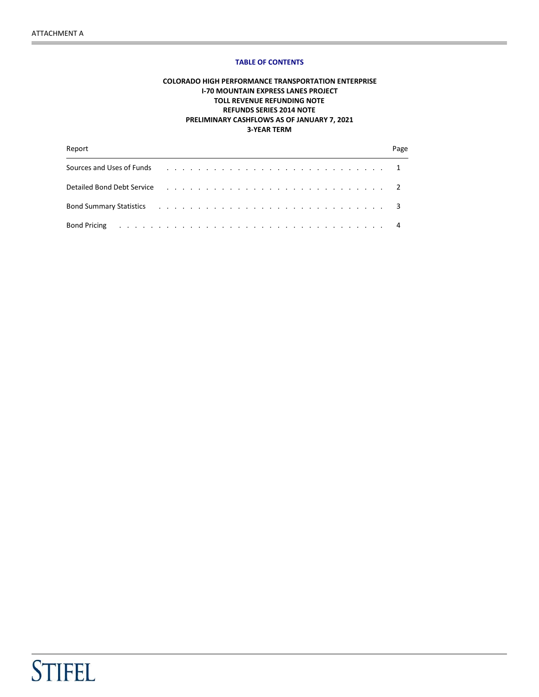#### TABLE OF CONTENTS

## COLORADO HIGH PERFORMANCE TRANSPORTATION ENTERPRISE I-70 MOUNTAIN EXPRESS LANES PROJECT TOLL REVENUE REFUNDING NOTE REFUNDS SERIES 2014 NOTE PRELIMINARY CASHFLOWS AS OF JANUARY 7, 2021 3-YEAR TERM

| Report                                                                                                                                                                                                                         |  |  |  |  |  |  |  |  |  |  |  |  |  |  | Page |
|--------------------------------------------------------------------------------------------------------------------------------------------------------------------------------------------------------------------------------|--|--|--|--|--|--|--|--|--|--|--|--|--|--|------|
| Sources and Uses of Funds resources in the content of the content of the content of the content of the content of the content of the content of the content of the content of the content of the content of the content of the |  |  |  |  |  |  |  |  |  |  |  |  |  |  |      |
| Detailed Bond Debt Service response to a service of the service of the service of the service of the service of the service of the service of the service of the service of the service of the service of the service of the s |  |  |  |  |  |  |  |  |  |  |  |  |  |  |      |
|                                                                                                                                                                                                                                |  |  |  |  |  |  |  |  |  |  |  |  |  |  |      |
| <b>Bond Pricing</b> ( <i>i.e., i.e., i.e., i.e., i.e., i.e., i.e., i.e., i.e., i.e., 4</i>                                                                                                                                     |  |  |  |  |  |  |  |  |  |  |  |  |  |  |      |

# **STIFEL**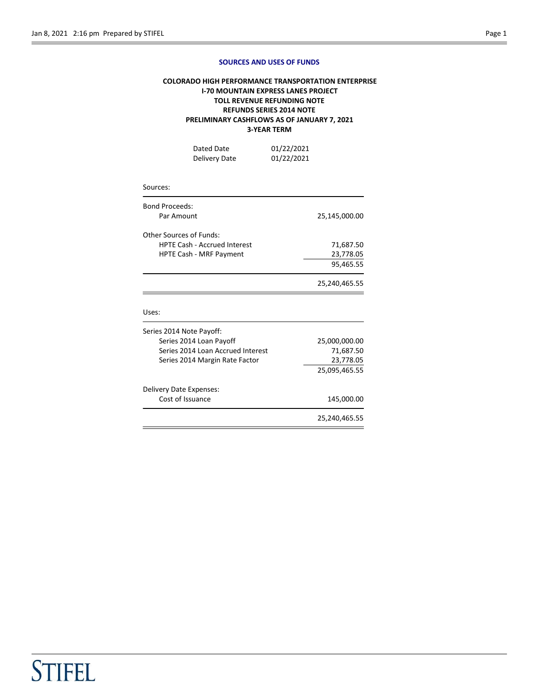#### SOURCES AND USES OF FUNDS

## COLORADO HIGH PERFORMANCE TRANSPORTATION ENTERPRISE I-70 MOUNTAIN EXPRESS LANES PROJECT TOLL REVENUE REFUNDING NOTE REFUNDS SERIES 2014 NOTE PRELIMINARY CASHFLOWS AS OF JANUARY 7, 2021 3-YEAR TERM

| Dated Date    | 01/22/2021 |
|---------------|------------|
| Delivery Date | 01/22/2021 |

#### Sources:

| <b>Bond Proceeds:</b><br>Par Amount                            | 25,145,000.00 |
|----------------------------------------------------------------|---------------|
| Other Sources of Funds:<br><b>HPTE Cash - Accrued Interest</b> | 71,687.50     |
| <b>HPTE Cash - MRF Payment</b>                                 | 23,778.05     |
|                                                                | 95,465.55     |
|                                                                | 25,240,465.55 |

#### Uses:

|                                   | 25,240,465.55 |
|-----------------------------------|---------------|
| Cost of Issuance                  | 145,000.00    |
| Delivery Date Expenses:           |               |
|                                   | 25,095,465.55 |
| Series 2014 Margin Rate Factor    | 23,778.05     |
| Series 2014 Loan Accrued Interest | 71,687.50     |
| Series 2014 Loan Payoff           | 25,000,000.00 |
| Series 2014 Note Payoff:          |               |
|                                   |               |

# **STIFEL**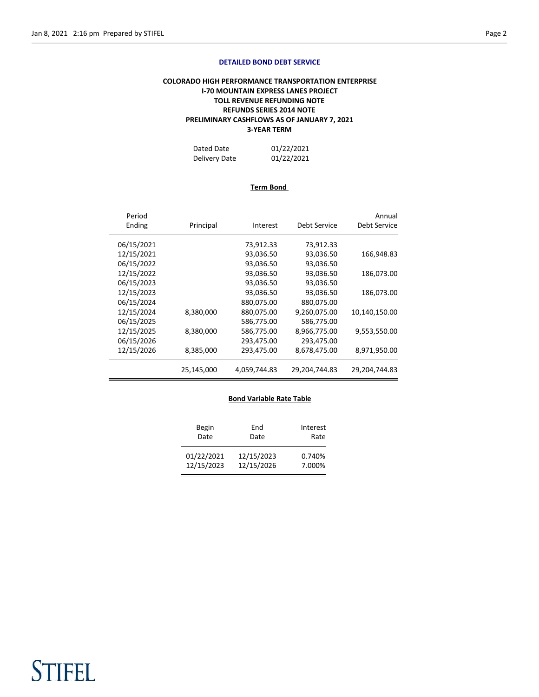#### DETAILED BOND DEBT SERVICE

## COLORADO HIGH PERFORMANCE TRANSPORTATION ENTERPRISE I-70 MOUNTAIN EXPRESS LANES PROJECT TOLL REVENUE REFUNDING NOTE REFUNDS SERIES 2014 NOTE PRELIMINARY CASHFLOWS AS OF JANUARY 7, 2021 3-YEAR TERM

| Dated Date    | 01/22/2021 |
|---------------|------------|
| Delivery Date | 01/22/2021 |

### Term Bond

| Period<br>Ending | Principal  | Interest     | Debt Service  | Annual<br>Debt Service |
|------------------|------------|--------------|---------------|------------------------|
| 06/15/2021       |            | 73,912.33    | 73,912.33     |                        |
| 12/15/2021       |            | 93,036.50    | 93,036.50     | 166,948.83             |
| 06/15/2022       |            | 93,036.50    | 93,036.50     |                        |
| 12/15/2022       |            | 93,036.50    | 93,036.50     | 186,073.00             |
| 06/15/2023       |            | 93,036.50    | 93,036.50     |                        |
| 12/15/2023       |            | 93,036.50    | 93,036.50     | 186,073.00             |
| 06/15/2024       |            | 880,075.00   | 880,075.00    |                        |
| 12/15/2024       | 8,380,000  | 880,075.00   | 9,260,075.00  | 10,140,150.00          |
| 06/15/2025       |            | 586,775.00   | 586,775.00    |                        |
| 12/15/2025       | 8,380,000  | 586,775.00   | 8,966,775.00  | 9,553,550.00           |
| 06/15/2026       |            | 293,475.00   | 293,475.00    |                        |
| 12/15/2026       | 8,385,000  | 293,475.00   | 8,678,475.00  | 8,971,950.00           |
|                  | 25,145,000 | 4,059,744.83 | 29,204,744.83 | 29,204,744.83          |

#### Bond Variable Rate Table

| Begin      | End        | Interest |
|------------|------------|----------|
| Date       | Date       | Rate     |
| 01/22/2021 | 12/15/2023 | 0.740%   |
| 12/15/2023 | 12/15/2026 | 7.000%   |

# **STIFEL**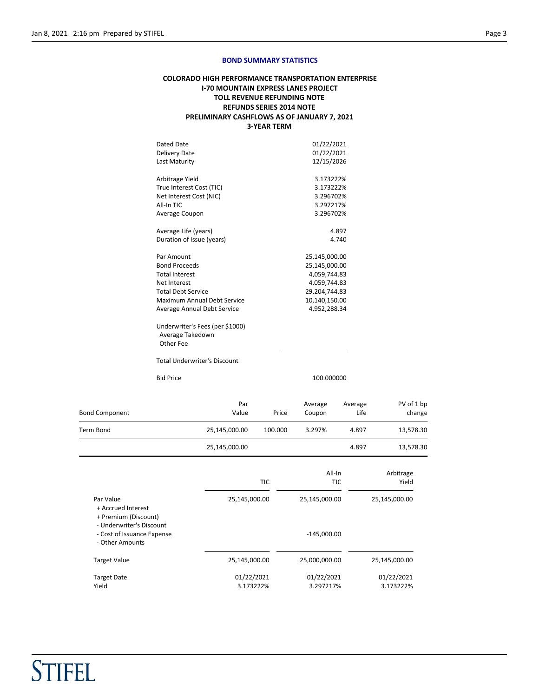**STIFEL** 

#### BOND SUMMARY STATISTICS

## COLORADO HIGH PERFORMANCE TRANSPORTATION ENTERPRISE I-70 MOUNTAIN EXPRESS LANES PROJECT TOLL REVENUE REFUNDING NOTE REFUNDS SERIES 2014 NOTE PRELIMINARY CASHFLOWS AS OF JANUARY 7, 2021 3-YEAR TERM

| Dated Date                                                       | 01/22/2021    |
|------------------------------------------------------------------|---------------|
| <b>Delivery Date</b>                                             | 01/22/2021    |
| Last Maturity                                                    | 12/15/2026    |
| Arbitrage Yield                                                  | 3.173222%     |
| True Interest Cost (TIC)                                         | 3.173222%     |
| Net Interest Cost (NIC)                                          | 3.296702%     |
| All-In TIC                                                       | 3.297217%     |
| Average Coupon                                                   | 3.296702%     |
| Average Life (years)                                             | 4.897         |
| Duration of Issue (years)                                        | 4.740         |
| Par Amount                                                       | 25,145,000.00 |
| <b>Bond Proceeds</b>                                             | 25,145,000.00 |
| <b>Total Interest</b>                                            | 4,059,744.83  |
| Net Interest                                                     | 4,059,744.83  |
| <b>Total Debt Service</b>                                        | 29,204,744.83 |
| Maximum Annual Debt Service                                      | 10,140,150.00 |
| Average Annual Debt Service                                      | 4,952,288.34  |
| Underwriter's Fees (per \$1000)<br>Average Takedown<br>Other Fee |               |
| <b>Total Underwriter's Discount</b>                              |               |
| <b>Bid Price</b>                                                 | 100.000000    |

| <b>Bond Component</b> | Par<br>Value  | Price   | Average<br>Coupon | Average<br>Life | PV of 1 bp<br>change |
|-----------------------|---------------|---------|-------------------|-----------------|----------------------|
| Term Bond             | 25,145,000.00 | 100.000 | 3.297%            | 4.897           | 13,578.30            |
|                       | 25,145,000.00 |         |                   | 4.897           | 13,578.30            |

|                                                                           | <b>TIC</b>              | All-In<br><b>TIC</b>    | Arbitrage<br>Yield      |
|---------------------------------------------------------------------------|-------------------------|-------------------------|-------------------------|
| Par Value<br>+ Accrued Interest<br>+ Premium (Discount)                   | 25,145,000.00           | 25,145,000.00           | 25,145,000.00           |
| - Underwriter's Discount<br>- Cost of Issuance Expense<br>- Other Amounts |                         | $-145,000.00$           |                         |
| <b>Target Value</b>                                                       | 25,145,000.00           | 25,000,000.00           | 25,145,000.00           |
| <b>Target Date</b><br>Yield                                               | 01/22/2021<br>3.173222% | 01/22/2021<br>3.297217% | 01/22/2021<br>3.173222% |